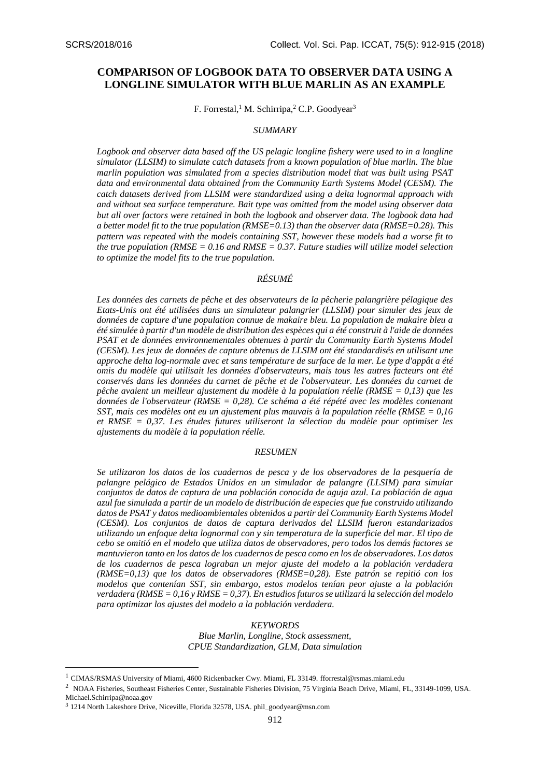# **COMPARISON OF LOGBOOK DATA TO OBSERVER DATA USING A LONGLINE SIMULATOR WITH BLUE MARLIN AS AN EXAMPLE**

F. Forrestal,<sup>1</sup> M. Schirripa,<sup>2</sup> C.P. Goodyear<sup>3</sup>

# *SUMMARY*

*Logbook and observer data based off the US pelagic longline fishery were used to in a longline simulator (LLSIM) to simulate catch datasets from a known population of blue marlin. The blue marlin population was simulated from a species distribution model that was built using PSAT data and environmental data obtained from the Community Earth Systems Model (CESM). The catch datasets derived from LLSIM were standardized using a delta lognormal approach with and without sea surface temperature. Bait type was omitted from the model using observer data but all over factors were retained in both the logbook and observer data. The logbook data had a better model fit to the true population (RMSE=0.13) than the observer data (RMSE=0.28). This pattern was repeated with the models containing SST, however these models had a worse fit to the true population (RMSE = 0.16 and RMSE = 0.37. Future studies will utilize model selection to optimize the model fits to the true population.*

# *RÉSUMÉ*

*Les données des carnets de pêche et des observateurs de la pêcherie palangrière pélagique des Etats-Unis ont été utilisées dans un simulateur palangrier (LLSIM) pour simuler des jeux de données de capture d'une population connue de makaire bleu. La population de makaire bleu a été simulée à partir d'un modèle de distribution des espèces qui a été construit à l'aide de données PSAT et de données environnementales obtenues à partir du Community Earth Systems Model (CESM). Les jeux de données de capture obtenus de LLSIM ont été standardisés en utilisant une approche delta log-normale avec et sans température de surface de la mer. Le type d'appât a été omis du modèle qui utilisait les données d'observateurs, mais tous les autres facteurs ont été conservés dans les données du carnet de pêche et de l'observateur. Les données du carnet de pêche avaient un meilleur ajustement du modèle à la population réelle (RMSE = 0,13) que les données de l'observateur (RMSE = 0,28). Ce schéma a été répété avec les modèles contenant SST, mais ces modèles ont eu un ajustement plus mauvais à la population réelle (RMSE = 0,16 et RMSE = 0,37. Les études futures utiliseront la sélection du modèle pour optimiser les ajustements du modèle à la population réelle.*

# *RESUMEN*

*Se utilizaron los datos de los cuadernos de pesca y de los observadores de la pesquería de palangre pelágico de Estados Unidos en un simulador de palangre (LLSIM) para simular conjuntos de datos de captura de una población conocida de aguja azul. La población de agua azul fue simulada a partir de un modelo de distribución de especies que fue construido utilizando datos de PSAT y datos medioambientales obtenidos a partir del Community Earth Systems Model (CESM). Los conjuntos de datos de captura derivados del LLSIM fueron estandarizados utilizando un enfoque delta lognormal con y sin temperatura de la superficie del mar. El tipo de cebo se omitió en el modelo que utiliza datos de observadores, pero todos los demás factores se mantuvieron tanto en los datos de los cuadernos de pesca como en los de observadores. Los datos de los cuadernos de pesca lograban un mejor ajuste del modelo a la población verdadera (RMSE=0,13) que los datos de observadores (RMSE=0,28). Este patrón se repitió con los modelos que contenían SST, sin embargo, estos modelos tenían peor ajuste a la población verdadera (RMSE = 0,16 y RMSE = 0,37). En estudios futuros se utilizará la selección del modelo para optimizar los ajustes del modelo a la población verdadera.*

# *KEYWORDS*

*Blue Marlin, Longline, Stock assessment, CPUE Standardization, GLM, Data simulation*

1

<sup>1</sup> CIMAS/RSMAS University of Miami, 4600 Rickenbacker Cwy. Miami, FL 33149. fforrestal@rsmas.miami.edu

<sup>&</sup>lt;sup>2</sup> NOAA Fisheries, Southeast Fisheries Center, Sustainable Fisheries Division, 75 Virginia Beach Drive, Miami, FL, 33149-1099, USA. Michael.Schirripa@noaa.gov

<sup>&</sup>lt;sup>3</sup> 1214 North Lakeshore Drive, Niceville, Florida 32578, USA. phil\_goodyear@msn.com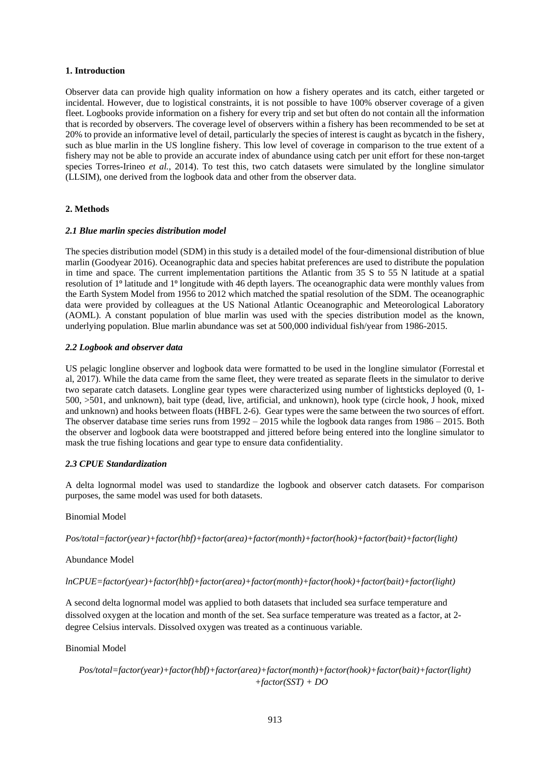# **1. Introduction**

Observer data can provide high quality information on how a fishery operates and its catch, either targeted or incidental. However, due to logistical constraints, it is not possible to have 100% observer coverage of a given fleet. Logbooks provide information on a fishery for every trip and set but often do not contain all the information that is recorded by observers. The coverage level of observers within a fishery has been recommended to be set at 20% to provide an informative level of detail, particularly the species of interest is caught as bycatch in the fishery, such as blue marlin in the US longline fishery. This low level of coverage in comparison to the true extent of a fishery may not be able to provide an accurate index of abundance using catch per unit effort for these non-target species Torres-Irineo *et al.*, 2014). To test this, two catch datasets were simulated by the longline simulator (LLSIM), one derived from the logbook data and other from the observer data.

# **2. Methods**

#### *2.1 Blue marlin species distribution model*

The species distribution model (SDM) in this study is a detailed model of the four-dimensional distribution of blue marlin (Goodyear 2016). Oceanographic data and species habitat preferences are used to distribute the population in time and space. The current implementation partitions the Atlantic from 35 S to 55 N latitude at a spatial resolution of  $1<sup>°</sup>$  latitude and  $1<sup>°</sup>$  longitude with 46 depth layers. The oceanographic data were monthly values from the Earth System Model from 1956 to 2012 which matched the spatial resolution of the SDM. The oceanographic data were provided by colleagues at the US National Atlantic Oceanographic and Meteorological Laboratory (AOML). A constant population of blue marlin was used with the species distribution model as the known, underlying population. Blue marlin abundance was set at 500,000 individual fish/year from 1986-2015.

# *2.2 Logbook and observer data*

US pelagic longline observer and logbook data were formatted to be used in the longline simulator (Forrestal et al, 2017). While the data came from the same fleet, they were treated as separate fleets in the simulator to derive two separate catch datasets. Longline gear types were characterized using number of lightsticks deployed (0, 1- 500, >501, and unknown), bait type (dead, live, artificial, and unknown), hook type (circle hook, J hook, mixed and unknown) and hooks between floats (HBFL 2-6). Gear types were the same between the two sources of effort. The observer database time series runs from 1992 – 2015 while the logbook data ranges from 1986 – 2015. Both the observer and logbook data were bootstrapped and jittered before being entered into the longline simulator to mask the true fishing locations and gear type to ensure data confidentiality.

#### *2.3 CPUE Standardization*

A delta lognormal model was used to standardize the logbook and observer catch datasets. For comparison purposes, the same model was used for both datasets.

#### Binomial Model

*Pos/total=factor(year)+factor(hbf)+factor(area)+factor(month)+factor(hook)+factor(bait)+factor(light)*

#### Abundance Model

# *lnCPUE=factor(year)+factor(hbf)+factor(area)+factor(month)+factor(hook)+factor(bait)+factor(light)*

A second delta lognormal model was applied to both datasets that included sea surface temperature and dissolved oxygen at the location and month of the set. Sea surface temperature was treated as a factor, at 2 degree Celsius intervals. Dissolved oxygen was treated as a continuous variable.

#### Binomial Model

*Pos/total=factor(year)+factor(hbf)+factor(area)+factor(month)+factor(hook)+factor(bait)+factor(light) +factor(SST) + DO*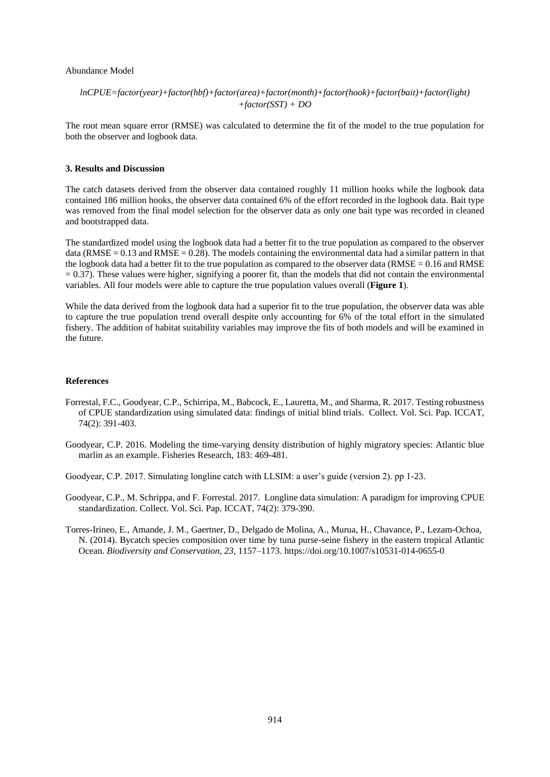#### Abundance Model

# *lnCPUE=factor(year)+factor(hbf)+factor(area)+factor(month)+factor(hook)+factor(bait)+factor(light) +factor(SST) + DO*

The root mean square error (RMSE) was calculated to determine the fit of the model to the true population for both the observer and logbook data.

# **3. Results and Discussion**

The catch datasets derived from the observer data contained roughly 11 million hooks while the logbook data contained 186 million hooks, the observer data contained 6% of the effort recorded in the logbook data. Bait type was removed from the final model selection for the observer data as only one bait type was recorded in cleaned and bootstrapped data.

The standardized model using the logbook data had a better fit to the true population as compared to the observer data (RMSE =  $0.13$  and RMSE =  $0.28$ ). The models containing the environmental data had a similar pattern in that the logbook data had a better fit to the true population as compared to the observer data (RMSE =  $0.16$  and RMSE  $= 0.37$ ). These values were higher, signifying a poorer fit, than the models that did not contain the environmental variables. All four models were able to capture the true population values overall (**Figure 1**).

While the data derived from the logbook data had a superior fit to the true population, the observer data was able to capture the true population trend overall despite only accounting for 6% of the total effort in the simulated fishery. The addition of habitat suitability variables may improve the fits of both models and will be examined in the future.

# **References**

- Forrestal, F.C., Goodyear, C.P., Schirripa, M., Babcock, E., Lauretta, M., and Sharma, R. 2017. Testing robustness of CPUE standardization using simulated data: findings of initial blind trials. Collect. Vol. Sci. Pap. ICCAT, 74(2): 391-403.
- Goodyear, C.P. 2016. Modeling the time-varying density distribution of highly migratory species: Atlantic blue marlin as an example. Fisheries Research, 183: 469-481.
- Goodyear, C.P. 2017. Simulating longline catch with LLSIM: a user's guide (version 2). pp 1-23.
- Goodyear, C.P., M. Schrippa, and F. Forrestal. 2017. Longline data simulation: A paradigm for improving CPUE standardization. Collect. Vol. Sci. Pap. ICCAT, 74(2): 379-390.
- Torres-Irineo, E., Amande, J. M., Gaertner, D., Delgado de Molina, A., Murua, H., Chavance, P., Lezam-Ochoa, N. (2014). Bycatch species composition over time by tuna purse-seine fishery in the eastern tropical Atlantic Ocean. *Biodiversity and Conservation*, *23*, 1157–1173. https://doi.org/10.1007/s10531-014-0655-0